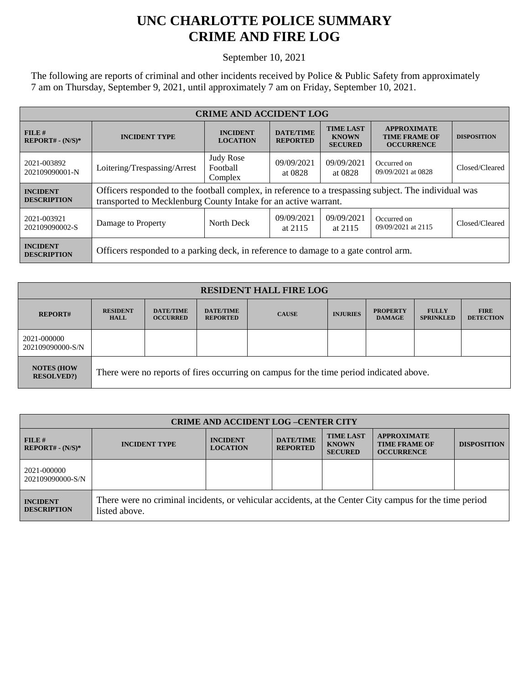## **UNC CHARLOTTE POLICE SUMMARY CRIME AND FIRE LOG**

September 10, 2021

The following are reports of criminal and other incidents received by Police & Public Safety from approximately 7 am on Thursday, September 9, 2021, until approximately 7 am on Friday, September 10, 2021.

| <b>CRIME AND ACCIDENT LOG</b>         |                                                                                                                                                                          |                                         |                                     |                                                    |                                                                 |                    |  |
|---------------------------------------|--------------------------------------------------------------------------------------------------------------------------------------------------------------------------|-----------------------------------------|-------------------------------------|----------------------------------------------------|-----------------------------------------------------------------|--------------------|--|
| FILE#<br>$REPORT# - (N/S)*$           | <b>INCIDENT TYPE</b>                                                                                                                                                     | <b>INCIDENT</b><br><b>LOCATION</b>      | <b>DATE/TIME</b><br><b>REPORTED</b> | <b>TIME LAST</b><br><b>KNOWN</b><br><b>SECURED</b> | <b>APPROXIMATE</b><br><b>TIME FRAME OF</b><br><b>OCCURRENCE</b> | <b>DISPOSITION</b> |  |
| 2021-003892<br>202109090001-N         | Loitering/Trespassing/Arrest                                                                                                                                             | <b>Judy Rose</b><br>Football<br>Complex | 09/09/2021<br>at 0828               | 09/09/2021<br>at 0828                              | Occurred on<br>09/09/2021 at 0828                               | Closed/Cleared     |  |
| <b>INCIDENT</b><br><b>DESCRIPTION</b> | Officers responded to the football complex, in reference to a trespassing subject. The individual was<br>transported to Mecklenburg County Intake for an active warrant. |                                         |                                     |                                                    |                                                                 |                    |  |
| 2021-003921<br>202109090002-S         | Damage to Property                                                                                                                                                       | North Deck                              | 09/09/2021<br>at 2115               | 09/09/2021<br>at 2115                              | Occurred on<br>09/09/2021 at 2115                               | Closed/Cleared     |  |
| <b>INCIDENT</b><br><b>DESCRIPTION</b> | Officers responded to a parking deck, in reference to damage to a gate control arm.                                                                                      |                                         |                                     |                                                    |                                                                 |                    |  |

| <b>RESIDENT HALL FIRE LOG</b>          |                                                                                         |                                     |                                     |              |                 |                                  |                                  |                                 |
|----------------------------------------|-----------------------------------------------------------------------------------------|-------------------------------------|-------------------------------------|--------------|-----------------|----------------------------------|----------------------------------|---------------------------------|
| <b>REPORT#</b>                         | <b>RESIDENT</b><br><b>HALL</b>                                                          | <b>DATE/TIME</b><br><b>OCCURRED</b> | <b>DATE/TIME</b><br><b>REPORTED</b> | <b>CAUSE</b> | <b>INJURIES</b> | <b>PROPERTY</b><br><b>DAMAGE</b> | <b>FULLY</b><br><b>SPRINKLED</b> | <b>FIRE</b><br><b>DETECTION</b> |
| 2021-000000<br>202109090000-S/N        |                                                                                         |                                     |                                     |              |                 |                                  |                                  |                                 |
| <b>NOTES (HOW</b><br><b>RESOLVED?)</b> | There were no reports of fires occurring on campus for the time period indicated above. |                                     |                                     |              |                 |                                  |                                  |                                 |

| <b>CRIME AND ACCIDENT LOG -CENTER CITY</b> |                                                                                                                          |                                    |                                     |                                                    |                                                                 |                    |  |
|--------------------------------------------|--------------------------------------------------------------------------------------------------------------------------|------------------------------------|-------------------------------------|----------------------------------------------------|-----------------------------------------------------------------|--------------------|--|
| $FILE$ #<br>$REPORT# - (N/S)*$             | <b>INCIDENT TYPE</b>                                                                                                     | <b>INCIDENT</b><br><b>LOCATION</b> | <b>DATE/TIME</b><br><b>REPORTED</b> | <b>TIME LAST</b><br><b>KNOWN</b><br><b>SECURED</b> | <b>APPROXIMATE</b><br><b>TIME FRAME OF</b><br><b>OCCURRENCE</b> | <b>DISPOSITION</b> |  |
| 2021-000000<br>202109090000-S/N            |                                                                                                                          |                                    |                                     |                                                    |                                                                 |                    |  |
| <b>INCIDENT</b><br><b>DESCRIPTION</b>      | There were no criminal incidents, or vehicular accidents, at the Center City campus for the time period<br>listed above. |                                    |                                     |                                                    |                                                                 |                    |  |